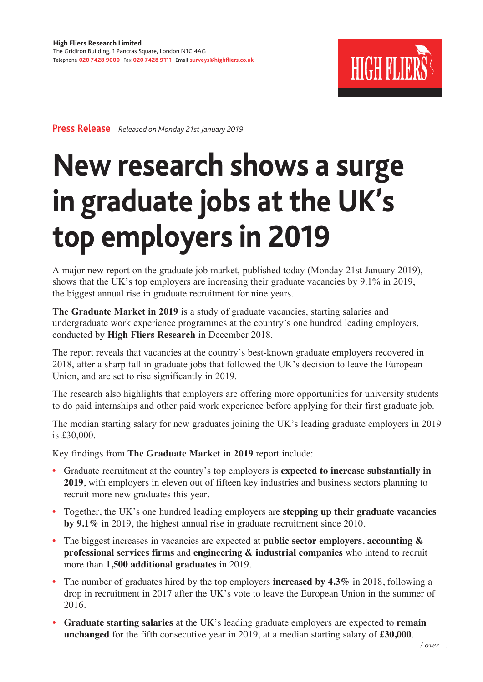

**Press Release** *Released on Monday 21st January 2019*

## **New research shows a surge in graduate jobs at the UK's top employers in 2019**

A major new report on the graduate job market, published today (Monday 21st January 2019), shows that the UK's top employers are increasing their graduate vacancies by 9.1% in 2019, the biggest annual rise in graduate recruitment for nine years.

**The Graduate Market in 2019** is a study of graduate vacancies, starting salaries and undergraduate work experience programmes at the country's one hundred leading employers, conducted by **High Fliers Research** in December 2018.

The report reveals that vacancies at the country's best-known graduate employers recovered in 2018, after a sharp fall in graduate jobs that followed the UK's decision to leave the European Union, and are set to rise significantly in 2019.

The research also highlights that employers are offering more opportunities for university students to do paid internships and other paid work experience before applying for their first graduate job.

The median starting salary for new graduates joining the UK's leading graduate employers in 2019 is £30,000.

Key findings from **The Graduate Market in 2019** report include:

- • Graduate recruitment at the country's top employers is **expected to increase substantially in 2019**, with employers in eleven out of fifteen key industries and business sectors planning to recruit more new graduates this year.
- • Together, the UK's one hundred leading employers are **stepping up their graduate vacancies by 9.1%** in 2019, the highest annual rise in graduate recruitment since 2010.
- • The biggest increases in vacancies are expected at **public sector employers**, **accounting & professional services firms** and **engineering & industrial companies** who intend to recruit more than **1,500 additional graduates** in 2019.
- The number of graduates hired by the top employers **increased by 4.3%** in 2018, following a drop in recruitment in 2017 after the UK's vote to leave the European Union in the summer of 2016.
- • **Graduate starting salaries** at the UK's leading graduate employers are expected to **remain unchanged** for the fifth consecutive year in 2019, at a median starting salary of **£30,000**.